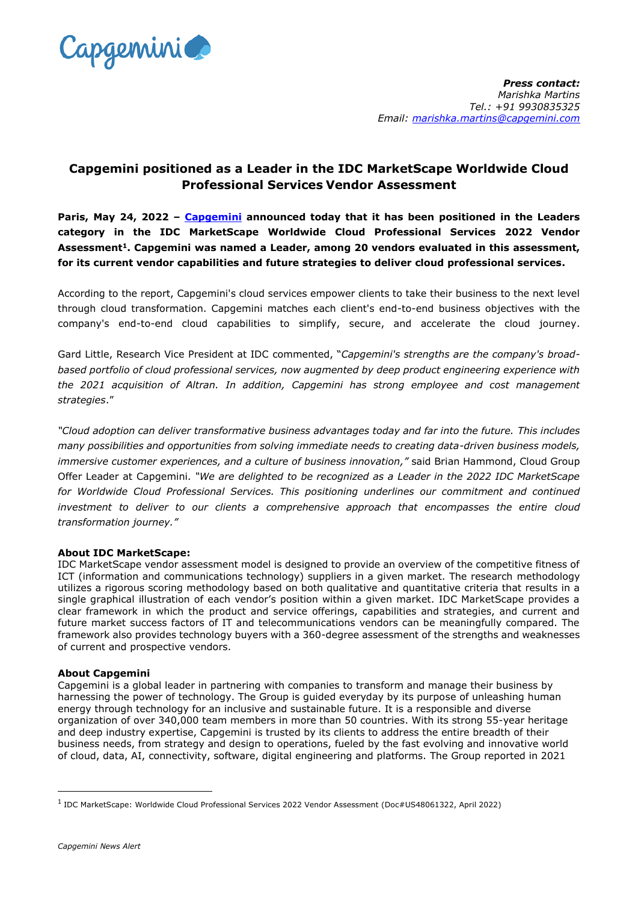

## **Capgemini positioned as a Leader in the IDC MarketScape Worldwide Cloud Professional Services Vendor Assessment**

**Paris, May 24, 2022 – [Capgemini](http://www.capgemini.com/) announced today that it has been positioned in the Leaders category in the IDC MarketScape Worldwide Cloud Professional Services 2022 Vendor Assessment<sup>1</sup>. Capgemini was named a Leader, among 20 vendors evaluated in this assessment, for its current vendor capabilities and future strategies to deliver cloud professional services.** 

According to the report, Capgemini's cloud services empower clients to take their business to the next level through cloud transformation. Capgemini matches each client's end-to-end business objectives with the company's end-to-end cloud capabilities to simplify, secure, and accelerate the cloud journey.

Gard Little, Research Vice President at IDC commented, "*Capgemini's strengths are the company's broadbased portfolio of cloud professional services, now augmented by deep product engineering experience with the 2021 acquisition of Altran. In addition, Capgemini has strong employee and cost management strategies*."

*"Cloud adoption can deliver transformative business advantages today and far into the future. This includes many possibilities and opportunities from solving immediate needs to creating data-driven business models, immersive customer experiences, and a culture of business innovation,"* said Brian Hammond, Cloud Group Offer Leader at Capgemini. *"We are delighted to be recognized as a Leader in the 2022 IDC MarketScape for Worldwide Cloud Professional Services. This positioning underlines our commitment and continued investment to deliver to our clients a comprehensive approach that encompasses the entire cloud transformation journey."*

## **About IDC MarketScape:**

IDC MarketScape vendor assessment model is designed to provide an overview of the competitive fitness of ICT (information and communications technology) suppliers in a given market. The research methodology utilizes a rigorous scoring methodology based on both qualitative and quantitative criteria that results in a single graphical illustration of each vendor's position within a given market. IDC MarketScape provides a clear framework in which the product and service offerings, capabilities and strategies, and current and future market success factors of IT and telecommunications vendors can be meaningfully compared. The framework also provides technology buyers with a 360-degree assessment of the strengths and weaknesses of current and prospective vendors.

## **About Capgemini**

Capgemini is a global leader in partnering with companies to transform and manage their business by harnessing the power of technology. The Group is guided everyday by its purpose of unleashing human energy through technology for an inclusive and sustainable future. It is a responsible and diverse organization of over 340,000 team members in more than 50 countries. With its strong 55-year heritage and deep industry expertise, Capgemini is trusted by its clients to address the entire breadth of their business needs, from strategy and design to operations, fueled by the fast evolving and innovative world of cloud, data, AI, connectivity, software, digital engineering and platforms. The Group reported in 2021

1

<sup>1</sup> IDC MarketScape: Worldwide Cloud Professional Services 2022 Vendor Assessment (Doc#US48061322, April 2022)